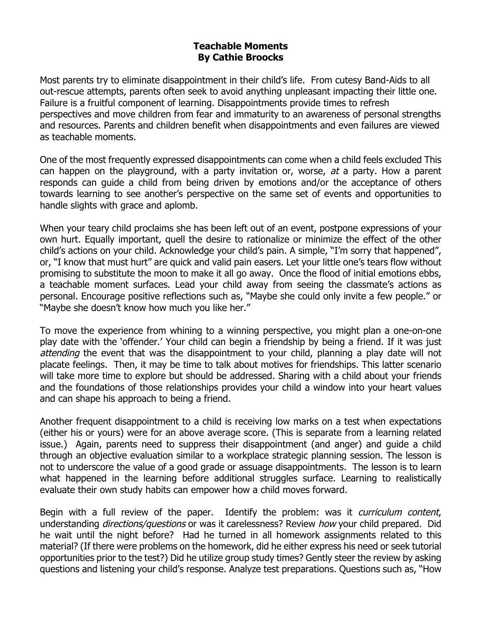## **Teachable Moments By Cathie Broocks**

Most parents try to eliminate disappointment in their child's life. From cutesy Band-Aids to all out-rescue attempts, parents often seek to avoid anything unpleasant impacting their little one. Failure is a fruitful component of learning. Disappointments provide times to refresh perspectives and move children from fear and immaturity to an awareness of personal strengths and resources. Parents and children benefit when disappointments and even failures are viewed as teachable moments.

One of the most frequently expressed disappointments can come when a child feels excluded This can happen on the playground, with a party invitation or, worse, at a party. How a parent responds can guide a child from being driven by emotions and/or the acceptance of others towards learning to see another's perspective on the same set of events and opportunities to handle slights with grace and aplomb.

When your teary child proclaims she has been left out of an event, postpone expressions of your own hurt. Equally important, quell the desire to rationalize or minimize the effect of the other child's actions on your child. Acknowledge your child's pain. A simple, "I'm sorry that happened", or, "I know that must hurt" are quick and valid pain easers. Let your little one's tears flow without promising to substitute the moon to make it all go away. Once the flood of initial emotions ebbs, a teachable moment surfaces. Lead your child away from seeing the classmate's actions as personal. Encourage positive reflections such as, "Maybe she could only invite a few people." or "Maybe she doesn't know how much you like her."

To move the experience from whining to a winning perspective, you might plan a one-on-one play date with the 'offender.' Your child can begin a friendship by being a friend. If it was just attending the event that was the disappointment to your child, planning a play date will not placate feelings. Then, it may be time to talk about motives for friendships. This latter scenario will take more time to explore but should be addressed. Sharing with a child about your friends and the foundations of those relationships provides your child a window into your heart values and can shape his approach to being a friend.

Another frequent disappointment to a child is receiving low marks on a test when expectations (either his or yours) were for an above average score. (This is separate from a learning related issue.) Again, parents need to suppress their disappointment (and anger) and guide a child through an objective evaluation similar to a workplace strategic planning session. The lesson is not to underscore the value of a good grade or assuage disappointments. The lesson is to learn what happened in the learning before additional struggles surface. Learning to realistically evaluate their own study habits can empower how a child moves forward.

Begin with a full review of the paper. Identify the problem: was it *curriculum content*, understanding *directions/questions* or was it carelessness? Review *how* your child prepared. Did he wait until the night before? Had he turned in all homework assignments related to this material? (If there were problems on the homework, did he either express his need or seek tutorial opportunities prior to the test?) Did he utilize group study times? Gently steer the review by asking questions and listening your child's response. Analyze test preparations. Questions such as, "How